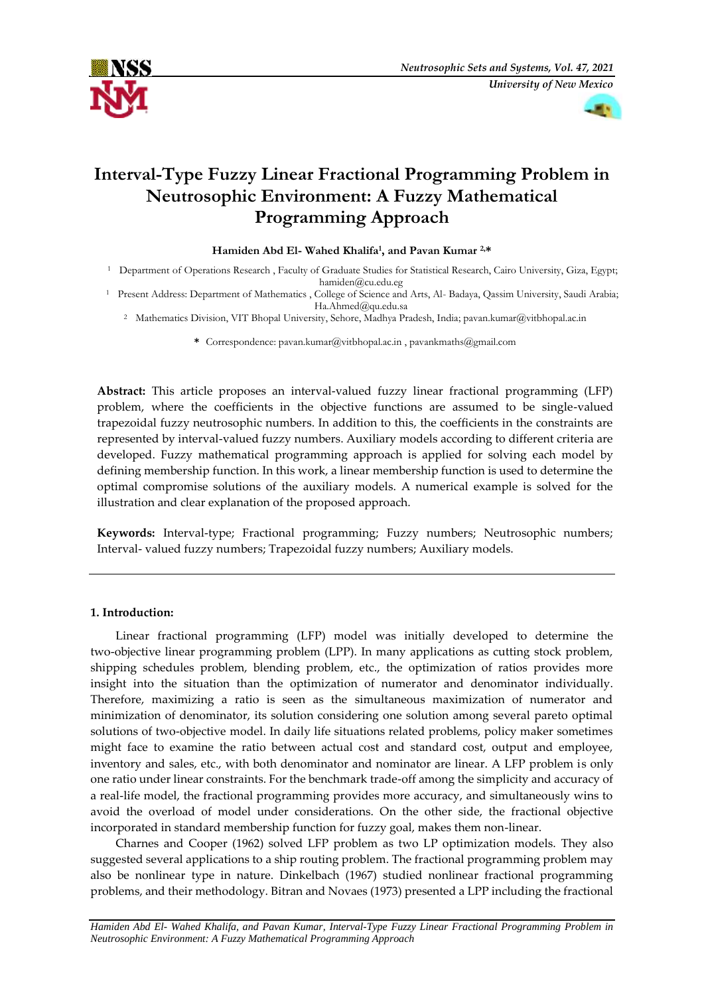



# **Interval-Type Fuzzy Linear Fractional Programming Problem in Neutrosophic Environment: A Fuzzy Mathematical Programming Approach**

# Hamiden Abd El- Wahed Khalifa<sup>1</sup>, and Pavan Kumar<sup>2,\*</sup>

- <sup>1</sup> Department of Operations Research , Faculty of Graduate Studies for Statistical Research, Cairo University, Giza, Egypt;
- hamiden@cu.edu.eg<br>1 Present Address: Department of Mathematics , College of Science and Arts, Al- Badaya, Qassim University, Saudi Arabia;<br>1 Ha.Ahmed@qu.edu.sa
	- <sup>2</sup> Mathematics Division, VIT Bhopal University, Sehore, Madhya Pradesh, India; pavan.kumar@vitbhopal.ac.in

#### **\*** Correspondence: [pavan.kumar@vitbhopal.ac.in](mailto:pavan.kumar@vitbhopal.ac.in) [, pavankmaths@gmail.com](mailto:pavankmaths@gmail.com)

**Abstract:** This article proposes an interval-valued fuzzy linear fractional programming (LFP) problem, where the coefficients in the objective functions are assumed to be single-valued trapezoidal fuzzy neutrosophic numbers. In addition to this, the coefficients in the constraints are represented by interval-valued fuzzy numbers. Auxiliary models according to different criteria are developed. Fuzzy mathematical programming approach is applied for solving each model by defining membership function. In this work, a linear membership function is used to determine the optimal compromise solutions of the auxiliary models. A numerical example is solved for the illustration and clear explanation of the proposed approach.

**Keywords:** Interval-type; Fractional programming; Fuzzy numbers; Neutrosophic numbers; Interval- valued fuzzy numbers; Trapezoidal fuzzy numbers; Auxiliary models.

# **1. Introduction:**

Linear fractional programming (LFP) model was initially developed to determine the two-objective linear programming problem (LPP). In many applications as cutting stock problem, shipping schedules problem, blending problem, etc., the optimization of ratios provides more insight into the situation than the optimization of numerator and denominator individually. Therefore, maximizing a ratio is seen as the simultaneous maximization of numerator and minimization of denominator, its solution considering one solution among several pareto optimal solutions of two-objective model. In daily life situations related problems, policy maker sometimes might face to examine the ratio between actual cost and standard cost, output and employee, inventory and sales, etc., with both denominator and nominator are linear. A LFP problem is only one ratio under linear constraints. For the benchmark trade-off among the simplicity and accuracy of a real-life model, the fractional programming provides more accuracy, and simultaneously wins to avoid the overload of model under considerations. On the other side, the fractional objective incorporated in standard membership function for fuzzy goal, makes them non-linear.

Charnes and Cooper (1962) solved LFP problem as two LP optimization models. They also suggested several applications to a ship routing problem. The fractional programming problem may also be nonlinear type in nature. Dinkelbach (1967) studied nonlinear fractional programming problems, and their methodology. Bitran and Novaes (1973) presented a LPP including the fractional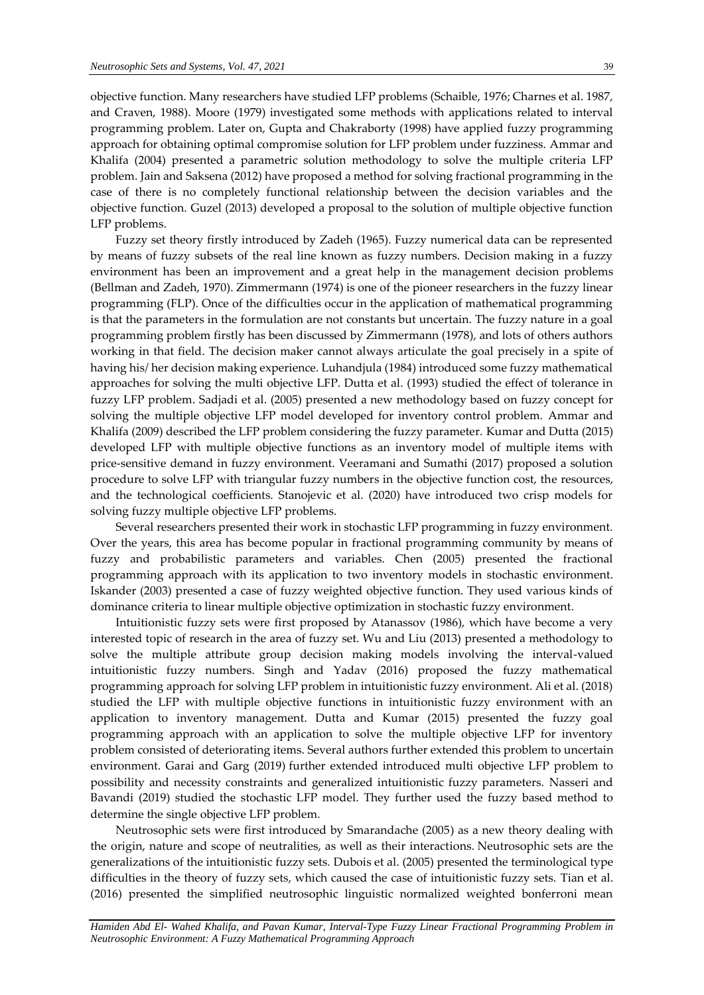objective function. Many researchers have studied LFP problems (Schaible, 1976; Charnes et al. 1987, and Craven, 1988). Moore (1979) investigated some methods with applications related to interval programming problem. Later on, Gupta and Chakraborty (1998) have applied fuzzy programming approach for obtaining optimal compromise solution for LFP problem under fuzziness. Ammar and Khalifa (2004) presented a parametric solution methodology to solve the multiple criteria LFP problem. Jain and Saksena (2012) have proposed a method for solving fractional programming in the case of there is no completely functional relationship between the decision variables and the objective function. Guzel (2013) developed a proposal to the solution of multiple objective function LFP problems.

Fuzzy set theory firstly introduced by Zadeh (1965). Fuzzy numerical data can be represented by means of fuzzy subsets of the real line known as fuzzy numbers. Decision making in a fuzzy environment has been an improvement and a great help in the management decision problems (Bellman and Zadeh, 1970). Zimmermann (1974) is one of the pioneer researchers in the fuzzy linear programming (FLP). Once of the difficulties occur in the application of mathematical programming is that the parameters in the formulation are not constants but uncertain. The fuzzy nature in a goal programming problem firstly has been discussed by Zimmermann (1978), and lots of others authors working in that field. The decision maker cannot always articulate the goal precisely in a spite of having his/ her decision making experience. Luhandjula (1984) introduced some fuzzy mathematical approaches for solving the multi objective LFP. Dutta et al. (1993) studied the effect of tolerance in fuzzy LFP problem. Sadjadi et al. (2005) presented a new methodology based on fuzzy concept for solving the multiple objective LFP model developed for inventory control problem. Ammar and Khalifa (2009) described the LFP problem considering the fuzzy parameter. Kumar and Dutta (2015) developed LFP with multiple objective functions as an inventory model of multiple items with price-sensitive demand in fuzzy environment. Veeramani and Sumathi (2017) proposed a solution procedure to solve LFP with triangular fuzzy numbers in the objective function cost, the resources, and the technological coefficients. Stanojevic et al. (2020) have introduced two crisp models for solving fuzzy multiple objective LFP problems.

Several researchers presented their work in stochastic LFP programming in fuzzy environment. Over the years, this area has become popular in fractional programming community by means of fuzzy and probabilistic parameters and variables. Chen (2005) presented the fractional programming approach with its application to two inventory models in stochastic environment. Iskander (2003) presented a case of fuzzy weighted objective function. They used various kinds of dominance criteria to linear multiple objective optimization in stochastic fuzzy environment.

Intuitionistic fuzzy sets were first proposed by Atanassov (1986), which have become a very interested topic of research in the area of fuzzy set. Wu and Liu (2013) presented a methodology to solve the multiple attribute group decision making models involving the interval-valued intuitionistic fuzzy numbers. Singh and Yadav (2016) proposed the fuzzy mathematical programming approach for solving LFP problem in intuitionistic fuzzy environment. Ali et al. (2018) studied the LFP with multiple objective functions in intuitionistic fuzzy environment with an application to inventory management. Dutta and Kumar (2015) presented the fuzzy goal programming approach with an application to solve the multiple objective LFP for inventory problem consisted of deteriorating items. Several authors further extended this problem to uncertain environment. Garai and Garg (2019) further extended introduced multi objective LFP problem to possibility and necessity constraints and generalized intuitionistic fuzzy parameters. Nasseri and Bavandi (2019) studied the stochastic LFP model. They further used the fuzzy based method to determine the single objective LFP problem.

Neutrosophic sets were first introduced by Smarandache (2005) as a new theory dealing with the origin, nature and scope of neutralities, as well as their interactions. Neutrosophic sets are the generalizations of the intuitionistic fuzzy sets*.* Dubois et al. (2005) presented the terminological type difficulties in the theory of fuzzy sets, which caused the case of intuitionistic fuzzy sets. Tian et al. (2016) presented the simplified neutrosophic linguistic normalized weighted bonferroni mean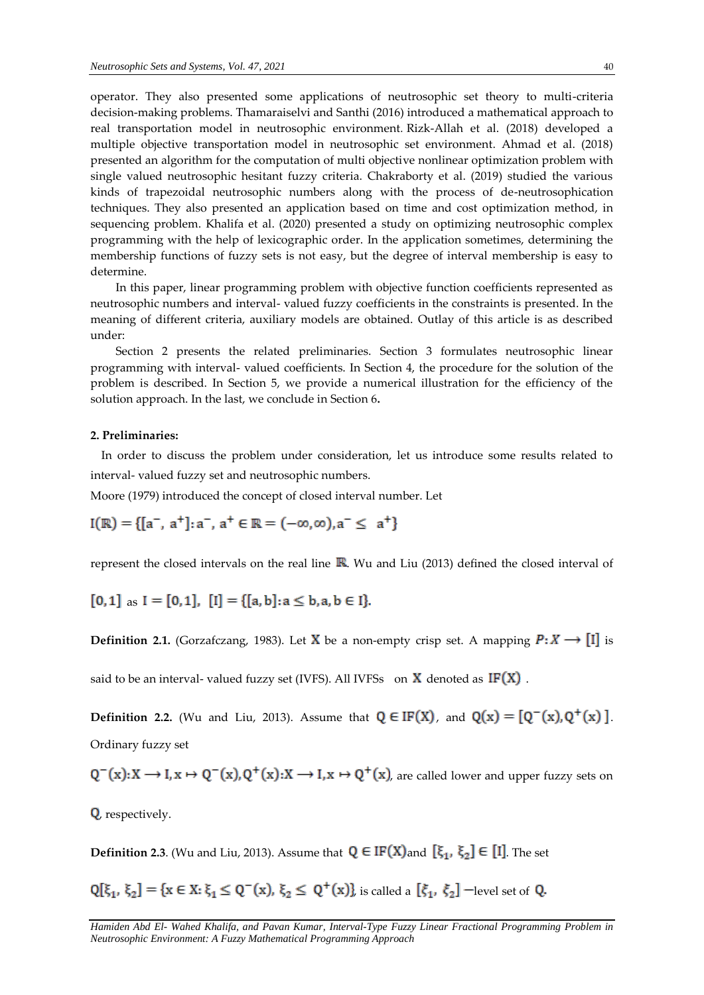operator. They also presented some applications of neutrosophic set theory to multi-criteria decision-making problems. Thamaraiselvi and Santhi (2016) introduced a mathematical approach to real transportation model in neutrosophic environment*.* Rizk-Allah et al. (2018) developed a multiple objective transportation model in neutrosophic set environment. Ahmad et al. (2018) presented an algorithm for the computation of multi objective nonlinear optimization problem with single valued neutrosophic hesitant fuzzy criteria. Chakraborty et al. (2019) studied the various kinds of trapezoidal neutrosophic numbers along with the process of de-neutrosophication techniques. They also presented an application based on time and cost optimization method, in sequencing problem. Khalifa et al. (2020) presented a study on optimizing neutrosophic complex programming with the help of lexicographic order. In the application sometimes, determining the membership functions of fuzzy sets is not easy, but the degree of interval membership is easy to determine.

In this paper, linear programming problem with objective function coefficients represented as neutrosophic numbers and interval- valued fuzzy coefficients in the constraints is presented. In the meaning of different criteria, auxiliary models are obtained. Outlay of this article is as described under:

Section 2 presents the related preliminaries. Section 3 formulates neutrosophic linear programming with interval- valued coefficients. In Section 4, the procedure for the solution of the problem is described. In Section 5, we provide a numerical illustration for the efficiency of the solution approach. In the last, we conclude in Section 6**.**

#### **2. Preliminaries:**

In order to discuss the problem under consideration, let us introduce some results related to interval- valued fuzzy set and neutrosophic numbers.

Moore (1979) introduced the concept of closed interval number. Let

 $I(\mathbb{R}) = \{ [a^-, a^+] : a^-, a^+ \in \mathbb{R} = (-\infty, \infty), a^- \leq a^+ \}$ 

represent the closed intervals on the real line  $\mathbb{R}$ . Wu and Liu (2013) defined the closed interval of

 $[0,1]$  as  $I = [0,1]$ ,  $[I] = \{ [a,b] : a \leq b, a, b \in I \}$ .

**Definition 2.1.** (Gorzafczang, 1983). Let **X** be a non-empty crisp set. A mapping  $P: X \rightarrow [1]$  is

said to be an interval- valued fuzzy set (IVFS). All IVFSs on  $X$  denoted as  $IF(X)$ .

**Definition 2.2.** (Wu and Liu, 2013). Assume that  $Q \in IF(X)$ , and  $Q(x) = [Q^-(x), Q^+(x)]$ . Ordinary fuzzy set

 $Q^-(x): X \longrightarrow I, x \mapsto Q^-(x), Q^+(x): X \longrightarrow I, x \mapsto Q^+(x)$ , are called lower and upper fuzzy sets on

, respectively.

**Definition 2.3.** (Wu and Liu, 2013). Assume that  $Q \in IF(X)$  and  $[\xi_1, \xi_2] \in [I]$ . The set

 $Q[\xi_1, \xi_2] = \{x \in X : \xi_1 \leq Q^-(x), \xi_2 \leq Q^+(x)\}\)$  is called a  $[\xi_1, \xi_2]$  -level set of Q.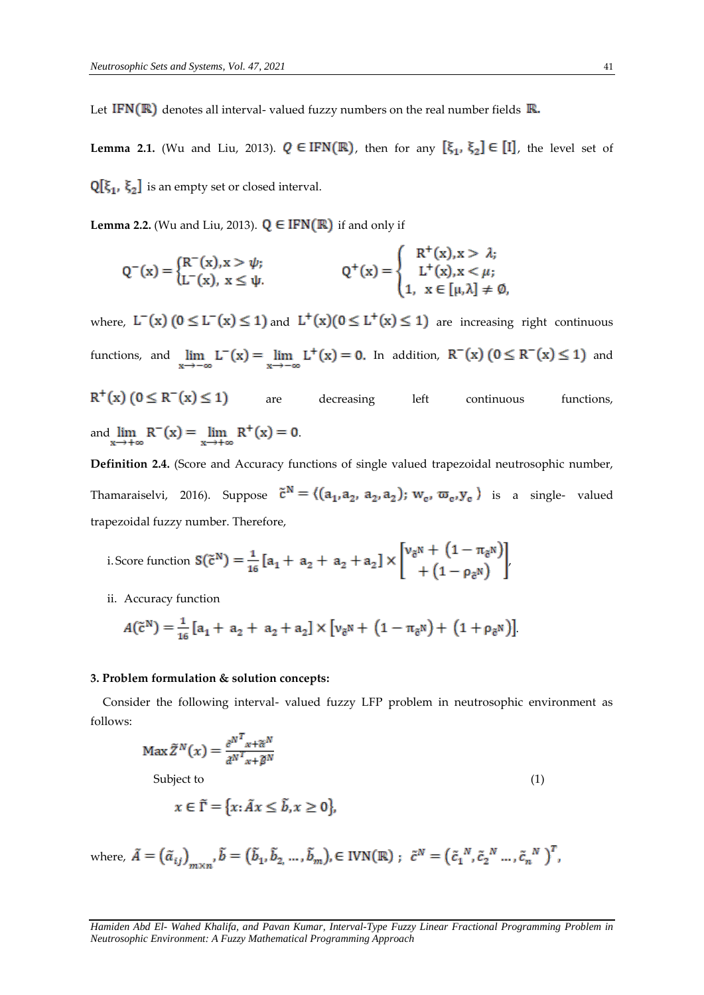Let IFN( $\mathbb{R}$ ) denotes all interval- valued fuzzy numbers on the real number fields  $\mathbb{R}$ .

**Lemma 2.1.** (Wu and Liu, 2013).  $Q \in \text{IFN}(\mathbb{R})$ , then for any  $\left[\xi_1, \xi_2\right] \in [1]$ , the level set of  $\mathbb{Q}[\xi_1, \xi_2]$  is an empty set or closed interval.

**Lemma 2.2.** (Wu and Liu, 2013).  $Q \in IFN(\mathbb{R})$  if and only if

$$
Q^{-}(x) = \begin{cases} R^{-}(x), x > \psi; \\ L^{-}(x), x \le \psi. \end{cases} \qquad Q^{+}(x) = \begin{cases} R^{+}(x), x > \lambda; \\ L^{+}(x), x < \mu; \\ 1, x \in [\mu, \lambda] \ne \emptyset, \end{cases}
$$

where,  $L^{-}(x)$   $(0 \le L^{-}(x) \le 1)$  and  $L^{+}(x)$  $(0 \le L^{+}(x) \le 1)$  are increasing right continuous functions, and  $\lim_{x \to -\infty} L^{-}(x) = \lim_{x \to -\infty} L^{+}(x) = 0$ . In addition,  $R^{-}(x)$   $(0 \le R^{-}(x) \le 1)$  and  $R^{+}(x)$  (0  $\leq R^{-}(x) \leq 1$ ) are decreasing left continuous functions, and  $\lim_{x \to +\infty} R^{-}(x) = \lim_{x \to +\infty} R^{+}(x) = 0.$ 

**Definition 2.4.** (Score and Accuracy functions of single valued trapezoidal neutrosophic number, Thamaraiselvi, 2016). Suppose  $\tilde{c}^N = \langle (a_1, a_2, a_2, a_2) ; w_c, \varpi_c, y_c \rangle$  is a single- valued trapezoidal fuzzy number. Therefore,

i. Score function 
$$
S(\tilde{c}^N) = \frac{1}{16} [a_1 + a_2 + a_2 + a_2] \times \begin{bmatrix} v_{\tilde{c}^N} + (1 - \pi_{\tilde{c}^N}) \\ + (1 - \rho_{\tilde{c}^N}) \end{bmatrix}
$$

ii. Accuracy function

$$
A(\tilde{c}^{N}) = \frac{1}{16} [a_1 + a_2 + a_2 + a_2] \times [v_{\tilde{c}^{N}} + (1 - \pi_{\tilde{c}^{N}}) + (1 + \rho_{\tilde{c}^{N}})].
$$

## **3. Problem formulation & solution concepts:**

Consider the following interval- valued fuzzy LFP problem in neutrosophic environment as follows:

$$
\operatorname{Max} \tilde{Z}^{N}(x) = \frac{\partial^{N} x}{\partial x^{N}} \tilde{Z}^{N}} \tag{1}
$$
\n
$$
\text{Subject to}
$$

 $x \in \tilde{\Gamma} = \{x: \tilde{A}x \le \tilde{b}, x \ge 0\}$ 

where,  $\tilde{A} = (\tilde{\alpha}_{ij})_{m \times n}$ ,  $\tilde{b} = (\tilde{b}_1, \tilde{b}_2, ..., \tilde{b}_m)$ ,  $\in$  IVN(R);  $\tilde{c}^N = (\tilde{c}_1^N, \tilde{c}_2^N, ..., \tilde{c}_n^N)^T$ ,

*Hamiden Abd El- Wahed Khalifa, and Pavan Kumar, Interval-Type Fuzzy Linear Fractional Programming Problem in Neutrosophic Environment: A Fuzzy Mathematical Programming Approach*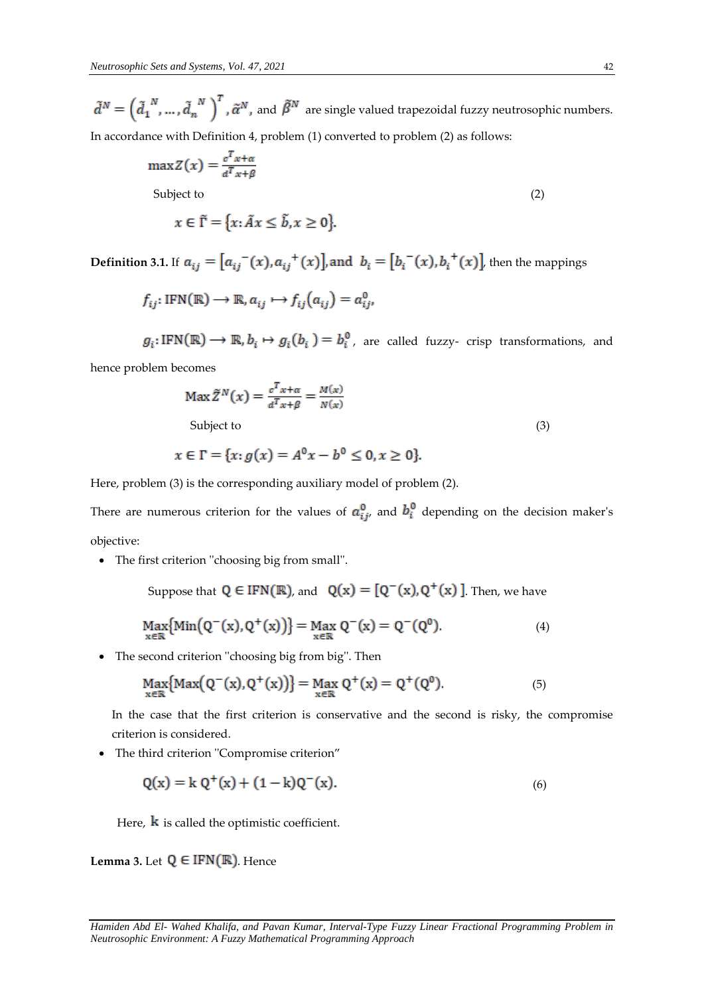$\tilde{d}^N = \left(\tilde{d}_1^{N}, \ldots, \tilde{d}_n^{N}\right)^T$ ,  $\tilde{\alpha}^N$ , and  $\tilde{\beta}^N$  are single valued trapezoidal fuzzy neutrosophic numbers. In accordance with Definition 4, problem (1) converted to problem (2) as follows:

$$
\max Z(x) = \frac{c^T x + \alpha}{d^T x + \beta}
$$

Subject to (2)

$$
x \in \tilde{\Gamma} = \{x: \tilde{A}x \le \tilde{b}, x \ge 0\}
$$

**Definition 3.1.** If  $a_{ij} = [a_{ij}^-(x), a_{ij}^+(x)]$ , and  $b_i = [b_i^-(x), b_i^+(x)]$ , then the mappings

$$
f_{ij}: IFN(\mathbb{R}) \to \mathbb{R}, a_{ij} \mapsto f_{ij}(a_{ij}) = a_{ij}^0
$$

 $g_i: IFN(\mathbb{R}) \longrightarrow \mathbb{R}, b_i \mapsto g_i(b_i) = b_i^0$ , are called fuzzy- crisp transformations, and

hence problem becomes

$$
\operatorname{Max} \tilde{Z}^{N}(x) = \frac{c^{T} x + \alpha}{d^{T} x + \beta} = \frac{M(x)}{N(x)}
$$
  
Subject to (3)

$$
x \in \Gamma = \{x : g(x) = A^0 x - b^0 \le 0, x \ge 0\}.
$$

Here, problem (3) is the corresponding auxiliary model of problem (2).

There are numerous criterion for the values of  $a_{ij}^0$ , and  $b_i^0$  depending on the decision maker's objective:

The first criterion ''choosing big from small''.

Suppose that  $Q \in IFN(\mathbb{R})$ , and  $Q(x) = [Q^-(x), Q^+(x)]$ . Then, we have

$$
\underset{x \in \mathbb{R}}{\text{Max}} \{ \text{Min} \big( Q^{-}(x), Q^{+}(x) \big) \} = \underset{x \in \mathbb{R}}{\text{Max}} \ Q^{-}(x) = Q^{-}(Q^{0}). \tag{4}
$$

• The second criterion "choosing big from big". Then

$$
\underset{x \in \mathbb{R}}{\text{Max}} \{ \text{Max} \big( Q^{-}(x), Q^{+}(x) \big) \} = \underset{x \in \mathbb{R}}{\text{Max}} \ Q^{+}(x) = Q^{+}(Q^{0}). \tag{5}
$$

In the case that the first criterion is conservative and the second is risky, the compromise criterion is considered.

The third criterion ''Compromise criterion"

$$
Q(x) = k Q^{+}(x) + (1 - k)Q^{-}(x).
$$
\n(6)

Here,  $\bf{k}$  is called the optimistic coefficient.

**Lemma 3.** Let  $Q \in IFN(\mathbb{R})$ . Hence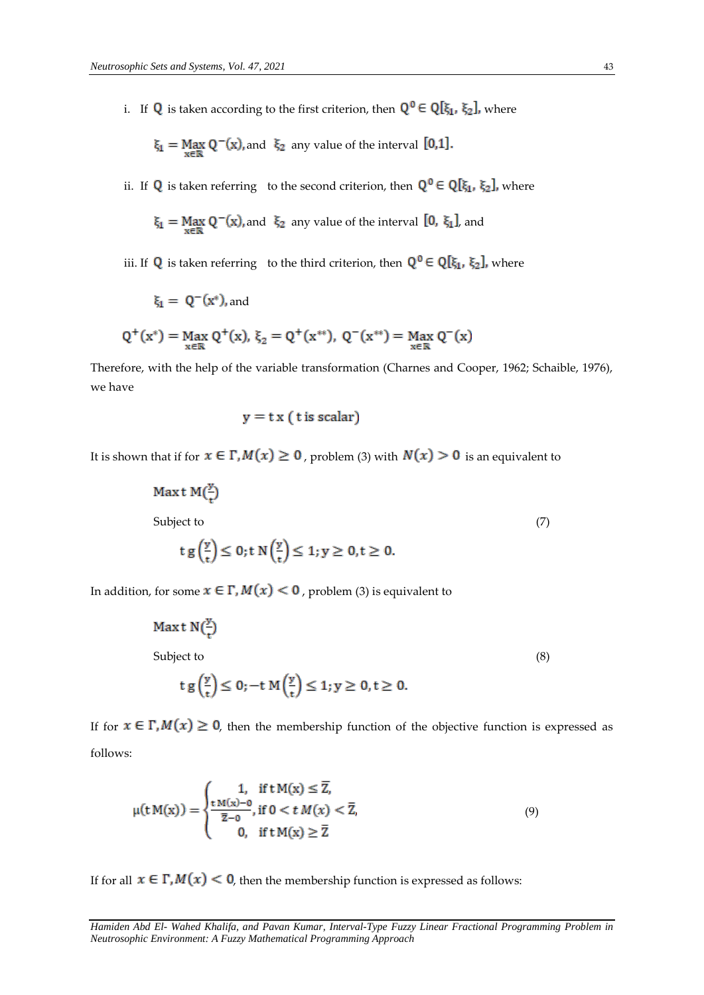i. If **Q** is taken according to the first criterion, then  $Q^0 \in Q[\xi_1, \xi_2]$ , where

$$
\xi_1 = \text{Max}_{x \in \mathbb{R}} Q^{-}(x)
$$
, and  $\xi_2$  any value of the interval [0,1].

ii. If **Q** is taken referring to the second criterion, then  $Q^0 \in Q[\xi_1, \xi_2]$ , where

$$
\xi_1 = \text{Max}_{x \in \mathbb{R}} Q^{-}(x)
$$
, and  $\xi_2$  any value of the interval  $[0, \xi_1]$ , and

iii. If **Q** is taken referring to the third criterion, then  $Q^0 \in Q[\xi_1, \xi_2]$ , where

$$
\xi_1 = Q^-(x^*), \text{and}
$$

$$
Q^+(x^*) = \underset{x \in \mathbb{R}}{\text{Max }} Q^+(x), \ \xi_2 = Q^+(x^{**}), \ Q^-(x^{**}) = \underset{x \in \mathbb{R}}{\text{Max }} Q^-(x)
$$

Therefore, with the help of the variable transformation (Charnes and Cooper, 1962; Schaible, 1976), we have

$$
y = tx (t \text{ is scalar})
$$

It is shown that if for  $x \in \Gamma$ ,  $M(x) \ge 0$ , problem (3) with  $N(x) > 0$  is an equivalent to

$$
\begin{aligned} \text{Max t } M\left(\frac{y}{t}\right) \\ \text{Subject to} \\ \text{t } g\left(\frac{y}{t}\right) \le 0; \text{t } N\left(\frac{y}{t}\right) \le 1; y \ge 0, t \ge 0. \end{aligned} \tag{7}
$$

In addition, for some  $x \in \Gamma$ ,  $M(x) < 0$ , problem (3) is equivalent to

$$
\begin{aligned} \text{Max t N}(\frac{y}{t})\\ \text{Subject to} \\ \text{t g}\left(\frac{y}{t}\right) &\leq 0; -\text{t M}\left(\frac{y}{t}\right) \leq 1; y \geq 0, t \geq 0. \end{aligned} \tag{8}
$$

If for  $x \in \Gamma$ ,  $M(x) \ge 0$ , then the membership function of the objective function is expressed as follows:

$$
\mu(t M(x)) = \begin{cases} 1, & \text{if } t M(x) \le \overline{Z}, \\ \frac{t M(x) - 0}{\overline{z} - 0}, & \text{if } 0 < t M(x) < \overline{Z}, \\ 0, & \text{if } t M(x) \ge \overline{Z} \end{cases}
$$
(9)

If for all  $x \in \Gamma$ ,  $M(x) < 0$ , then the membership function is expressed as follows:

*Hamiden Abd El- Wahed Khalifa, and Pavan Kumar, Interval-Type Fuzzy Linear Fractional Programming Problem in Neutrosophic Environment: A Fuzzy Mathematical Programming Approach*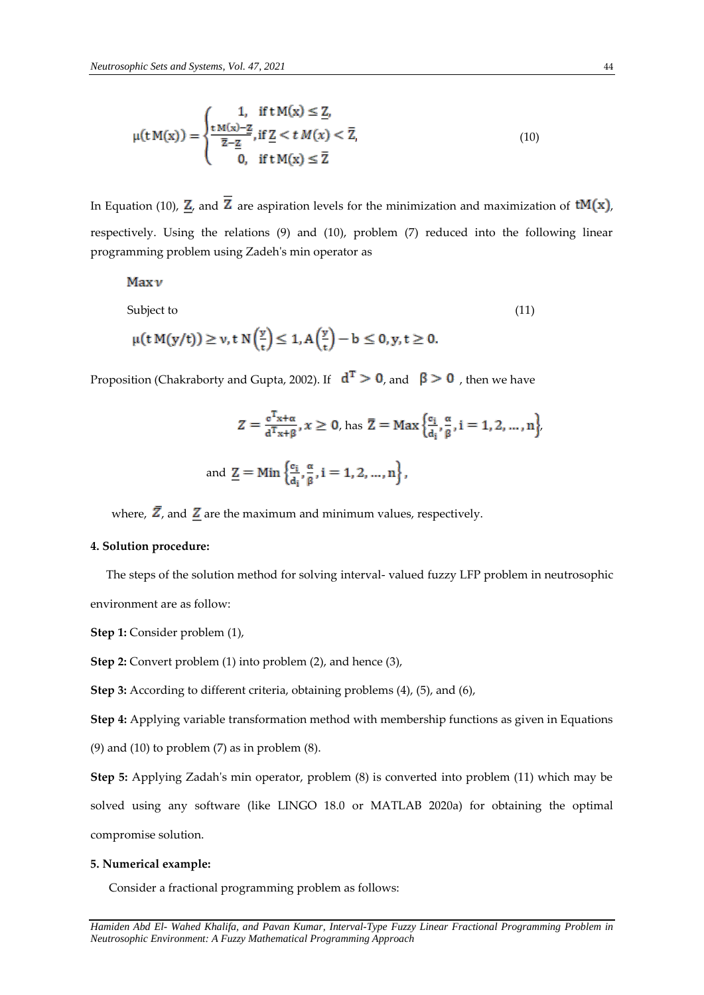$$
\mu(t M(x)) = \begin{cases} 1, & \text{if } t M(x) \le \underline{Z}, \\ \frac{t M(x) - \underline{Z}}{\overline{z} - \underline{Z}}, & \text{if } \underline{Z} < t M(x) < \overline{Z}, \\ 0, & \text{if } t M(x) \le \overline{Z} \end{cases}
$$
(10)

In Equation (10),  $\underline{Z}$ , and  $\overline{Z}$  are aspiration levels for the minimization and maximization of  $tM(x)$ , respectively. Using the relations (9) and (10), problem (7) reduced into the following linear programming problem using Zadeh's min operator as

# $Maxv$

Subject to  $(11)$ 

$$
\mu(t\,M(y/t))\geq \nu, t\; N\Big(\frac{y}{t}\Big)\leq 1, A\Big(\frac{y}{t}\Big)-b\leq 0, y, t\geq 0.
$$

Proposition (Chakraborty and Gupta, 2002). If  $d^T > 0$ , and  $\beta > 0$ , then we have

$$
Z = \frac{e^{T_{X} + \alpha}}{d^{T_{X} + \beta}}, x \ge 0, \text{ has } \overline{Z} = \text{Max}\left\{\frac{e_i}{d_i}, \frac{\alpha}{\beta}, i = 1, 2, ..., n\right\},\
$$
  
and  $\underline{Z} = \text{Min}\left\{\frac{e_i}{d_i}, \frac{\alpha}{\beta}, i = 1, 2, ..., n\right\},\$ 

where,  $\overline{Z}$ , and  $Z$  are the maximum and minimum values, respectively.

## **4. Solution procedure:**

 The steps of the solution method for solving interval- valued fuzzy LFP problem in neutrosophic environment are as follow:

**Step 1:** Consider problem (1),

**Step 2:** Convert problem (1) into problem (2), and hence (3),

**Step 3:** According to different criteria, obtaining problems (4), (5), and (6),

**Step 4:** Applying variable transformation method with membership functions as given in Equations (9) and (10) to problem  $(7)$  as in problem  $(8)$ .

**Step 5:** Applying Zadah's min operator, problem (8) is converted into problem (11) which may be solved using any software (like LINGO 18.0 or MATLAB 2020a) for obtaining the optimal compromise solution.

#### **5. Numerical example:**

Consider a fractional programming problem as follows: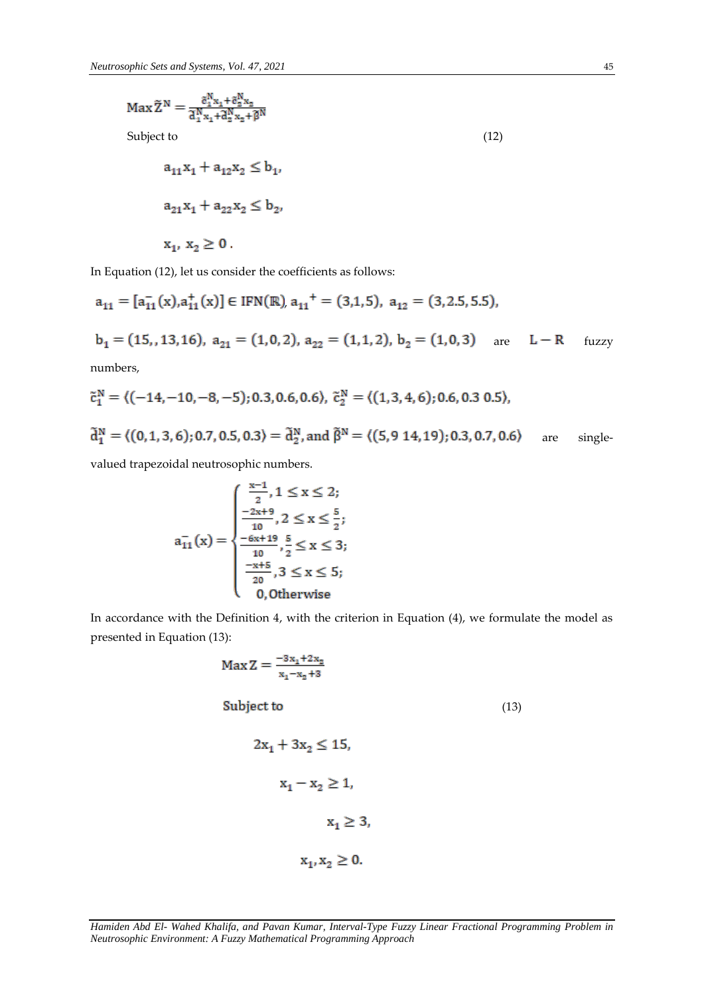$$
Max \tilde{Z}^{N} = \frac{\tilde{c}_{1}^{N} x_{1} + \tilde{c}_{2}^{N} x_{2}}{\tilde{d}_{1}^{N} x_{1} + \tilde{d}_{2}^{N} x_{2} + \tilde{\beta}^{N}}
$$
  
Subject to  

$$
a_{11} x_{1} + a_{12} x_{2} \leq b_{1},
$$

$$
a_{21} x_{1} + a_{22} x_{2} \leq b_{2},
$$

$$
x_{1}, x_{2} \geq 0.
$$
 (12)

In Equation (12), let us consider the coefficients as follows:

$$
a_{11} = [a_{11}^{-}(x), a_{11}^{+}(x)] \in IFN(\mathbb{R}), a_{11}^{+} = (3, 1, 5), a_{12} = (3, 2.5, 5.5),
$$
  
\n
$$
b_{1} = (15, 13, 16), a_{21} = (1, 0, 2), a_{22} = (1, 1, 2), b_{2} = (1, 0, 3) \text{ are } L - R \text{ fuzzy numbers,}
$$

$$
\tilde{c}_1^N = \langle (-14, -10, -8, -5); 0.3, 0.6, 0.6 \rangle, \ \tilde{c}_2^N = \langle (1, 3, 4, 6); 0.6, 0.3, 0.5 \rangle,
$$
  

$$
\tilde{d}_1^N = \langle (0, 1, 3, 6); 0.7, 0.5, 0.3 \rangle = \tilde{d}_2^N, \text{ and } \tilde{\beta}^N = \langle (5, 9, 14, 19); 0.3, 0.7, 0.6 \rangle \quad \text{are} \quad \text{single-}
$$

valued trapezoidal neutrosophic numbers.

$$
a_{11}^{-}(x) = \begin{cases} \frac{x-1}{2}, 1 \le x \le 2; \\ \frac{-2x+9}{10}, 2 \le x \le \frac{5}{2}; \\ \frac{-6x+19}{10}, \frac{5}{2} \le x \le 3; \\ \frac{-x+5}{20}, 3 \le x \le 5; \\ 0, \text{Otherwise} \end{cases}
$$

In accordance with the Definition 4, with the criterion in Equation (4), we formulate the model as presented in Equation (13):

$$
Max Z = \frac{-3x_1 + 2x_2}{x_1 - x_2 + 3}
$$
  
Subject to  

$$
2x_1 + 3x_2 \le 15,
$$

$$
x_1 - x_2 \ge 1,
$$

$$
x_1 \ge 3,
$$

$$
x_1, x_2 \ge 0.
$$
 (13)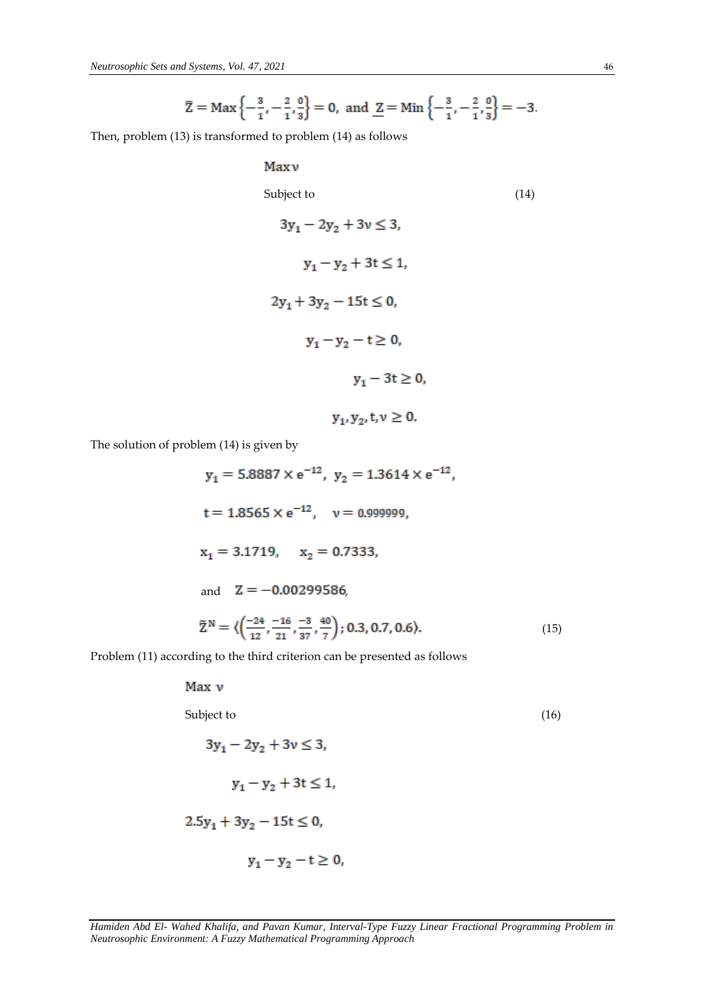$$
\overline{Z} = \text{Max}\left\{-\frac{3}{1}, -\frac{2}{1}, \frac{0}{3}\right\} = 0
$$
, and  $\underline{Z} = \text{Min}\left\{-\frac{3}{1}, -\frac{2}{1}, \frac{0}{3}\right\} = -3$ .

Then, problem (13) is transformed to problem (14) as follows

# Maxy Subject to (14)  $3y_1 - 2y_2 + 3y \le 3$ ,  $y_1 - y_2 + 3t \le 1$ ,  $2y_1 + 3y_2 - 15t \le 0$ ,  $y_1 - y_2 - t \ge 0$ ,  $y_1 - 3t \ge 0$ ,

The solution of problem (14) is given by

 $y_1 = 5.8887 \times e^{-12}$ ,  $y_2 = 1.3614 \times e^{-12}$ ,  $t = 1.8565 \times e^{-12}$ ,  $v = 0.999999$ .  $x_1 = 3.1719$ ,  $x_2 = 0.7333$ and  $Z = -0.00299586$  $\tilde{Z}^{N} = \langle \left( \frac{-24}{12}, \frac{-16}{21}, \frac{-3}{37}, \frac{40}{7} \right); 0.3, 0.7, 0.6 \rangle.$  (15)

 $y_1, y_2, t, v \ge 0.$ 

Problem (11) according to the third criterion can be presented as follows

Max v

Subject to (16)

$$
3y_1 - 2y_2 + 3v \le 3,
$$
  

$$
y_1 - y_2 + 3t \le 1,
$$
  

$$
2.5y_1 + 3y_2 - 15t \le 0,
$$
  

$$
y_1 - y_2 - t \ge 0,
$$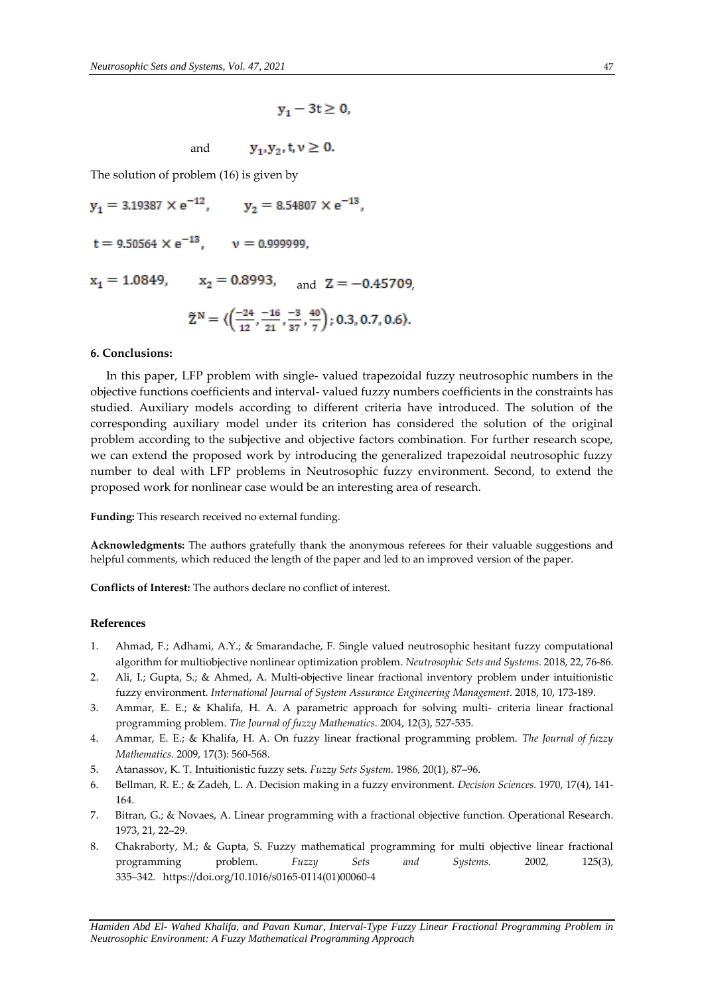$$
y_1 - 3t \geq 0,
$$

 $y_1, y_2, t, v \ge 0.$ and

The solution of problem (16) is given by

 $y_1 = 3.19387 \times e^{-12}$ ,  $y_2 = 8.54807 \times e^{-13}$ ,  $t = 9.50564 \times e^{-13}$ ,  $v = 0.999999$ .  $x_1 = 1.0849$ ,  $x_2 = 0.8993$ , and  $Z = -0.45709$ ,  $\tilde{Z}^{N} = \langle \left( \frac{-24}{12}, \frac{-16}{21}, \frac{-3}{37}, \frac{40}{7} \right) ; 0.3, 0.7, 0.6 \rangle.$ 

#### **6. Conclusions:**

 In this paper, LFP problem with single- valued trapezoidal fuzzy neutrosophic numbers in the objective functions coefficients and interval- valued fuzzy numbers coefficients in the constraints has studied. Auxiliary models according to different criteria have introduced. The solution of the corresponding auxiliary model under its criterion has considered the solution of the original problem according to the subjective and objective factors combination. For further research scope, we can extend the proposed work by introducing the generalized trapezoidal neutrosophic fuzzy number to deal with LFP problems in Neutrosophic fuzzy environment. Second, to extend the proposed work for nonlinear case would be an interesting area of research.

**Funding:** This research received no external funding.

**Acknowledgments:** The authors gratefully thank the anonymous referees for their valuable suggestions and helpful comments, which reduced the length of the paper and led to an improved version of the paper.

**Conflicts of Interest:** The authors declare no conflict of interest.

#### **References**

- 1. Ahmad, F.; Adhami, A.Y.; & Smarandache, F. Single valued neutrosophic hesitant fuzzy computational algorithm for multiobjective nonlinear optimization problem. *Neutrosophic Sets and Systems.* 2018, 22, 76-86.
- 2. Ali, I.; Gupta, S.; & Ahmed, A. Multi-objective linear fractional inventory problem under intuitionistic fuzzy environment. *International Journal of System Assurance Engineering Management.* 2018, 10, 173-189.
- 3. Ammar, E. E.; & Khalifa, H. A. A parametric approach for solving multi- criteria linear fractional programming problem. *The Journal of fuzzy Mathematics.* 2004, 12(3), 527-535.
- 4. Ammar, E. E.; & Khalifa, H. A. On fuzzy linear fractional programming problem. *The Journal of fuzzy Mathematics.* 2009, 17(3): 560-568.
- 5. Atanassov, K. T. Intuitionistic fuzzy sets. *Fuzzy Sets System.* 1986*,* 20(1), 87–96.
- 6. Bellman, R. E.; & Zadeh, L. A. Decision making in a fuzzy environment. *Decision Sciences.* 1970, 17(4), 141- 164.
- 7. Bitran, G.; & Novaes, A. Linear programming with a fractional objective function. Operational Research. 1973, 21, 22–29.
- 8. Chakraborty, M.; & Gupta, S. Fuzzy mathematical programming for multi objective linear fractional programming problem*. Fuzzy Sets and Systems.* 2002, 125(3), 335–342. https://doi.org/10.1016/s0165-0114(01)00060-4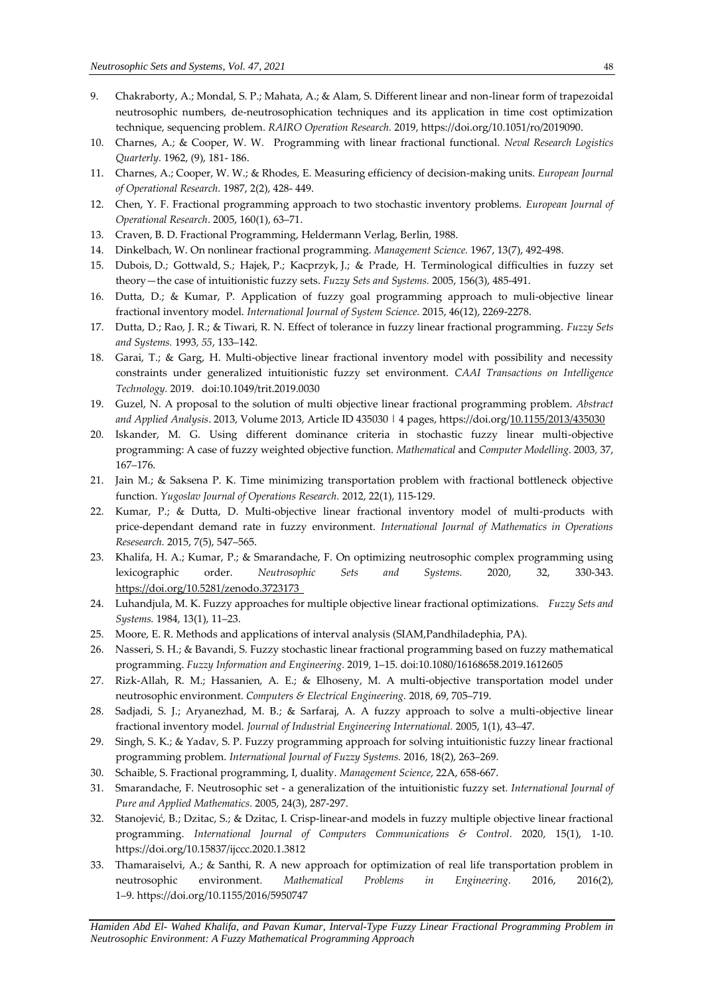- 9. Chakraborty, A.; Mondal, S. P.; Mahata, A.; & Alam, S. Different linear and non-linear form of trapezoidal neutrosophic numbers, de-neutrosophication techniques and its application in time cost optimization technique, sequencing problem. *RAIRO Operation Research.* 2019, https://doi.org/10.1051/ro/2019090.
- 10. Charnes, A.; & Cooper, W. W. Programming with linear fractional functional. *Neval Research Logistics Quarterly.* 1962, (9), 181- 186.
- 11. Charnes, A.; Cooper, W. W.; & Rhodes, E. Measuring efficiency of decision-making units. *European Journal of Operational Research.* 1987, 2(2), 428- 449.
- 12. Chen, Y. F. Fractional programming approach to two stochastic inventory problems. *European Journal of Operational Research*. 2005, 160(1), 63–71.
- 13. Craven, B. D. Fractional Programming, Heldermann Verlag, Berlin, 1988.
- 14. Dinkelbach, W. On nonlinear fractional programming. *Management Science.* 1967, 13(7), 492-498.
- 15. Dubois, D.; Gottwald, S.; Hajek, P.; Kacprzyk, J.; & Prade, H. Terminological difficulties in fuzzy set theory—the case of intuitionistic fuzzy sets. *Fuzzy Sets and Systems.* 2005, 156(3), 485-491.
- 16. Dutta, D.; & Kumar, P. Application of fuzzy goal programming approach to muli-objective linear fractional inventory model. *International Journal of System Science.* 2015, 46(12), 2269-2278.
- 17. Dutta, D.; Rao, J. R.; & Tiwari, R. N. Effect of tolerance in fuzzy linear fractional programming. *Fuzzy Sets and Systems.* 1993*, 55*, 133–142.
- 18. Garai, T.; & Garg, H. Multi-objective linear fractional inventory model with possibility and necessity constraints under generalized intuitionistic fuzzy set environment. *CAAI Transactions on Intelligence Technology.* 2019. doi:10.1049/trit.2019.0030
- 19. Guzel, N. A proposal to the solution of multi objective linear fractional programming problem. *Abstract and Applied Analysis*. 2013, Volume 2013, Article ID 435030 | 4 pages, https://doi.org[/10.1155/2013/435030](https://doi.org/10.1155/2013/435030)
- 20. Iskander, M. G. Using different dominance criteria in stochastic fuzzy linear multi-objective programming: A case of fuzzy weighted objective function. *Mathematical* and *Computer Modelling.* 2003*,* 37, 167–176.
- 21. Jain M.; & Saksena P. K. Time minimizing transportation problem with fractional bottleneck objective function. *Yugoslav Journal of Operations Research.* 2012, 22(1), 115-129.
- 22. Kumar, P.; & Dutta, D. Multi-objective linear fractional inventory model of multi-products with price-dependant demand rate in fuzzy environment. *International Journal of Mathematics in Operations Resesearch.* 2015, 7(5), 547–565.
- 23. Khalifa, H. A.; Kumar, P.; & Smarandache, F. On optimizing neutrosophic complex programming using lexicographic order. *Neutrosophic Sets and Systems.* 2020, 32, 330-343. https://doi.org/10.5281/zenodo.3723173
- 24. Luhandjula, M. K. Fuzzy approaches for multiple objective linear fractional optimizations. *Fuzzy Sets and Systems.* 1984, 13(1), 11–23.
- 25. Moore, E. R. Methods and applications of interval analysis (SIAM,Pandhiladephia, PA).
- 26. Nasseri, S. H.; & Bavandi, S. Fuzzy stochastic linear fractional programming based on fuzzy mathematical programming. *Fuzzy Information and Engineering.* 2019, 1–15. doi:10.1080/16168658.2019.1612605
- 27. Rizk-Allah, R. M.; Hassanien, A. E.; & Elhoseny, M. A multi-objective transportation model under neutrosophic environment. *Computers & Electrical Engineering.* 2018, 69, 705–719.
- 28. Sadjadi, S. J.; Aryanezhad, M. B.; & Sarfaraj, A. A fuzzy approach to solve a multi-objective linear fractional inventory model. *Journal of Industrial Engineering International.* 2005, 1(1), 43–47.
- 29. Singh, S. K.; & Yadav, S. P. Fuzzy programming approach for solving intuitionistic fuzzy linear fractional programming problem. *International Journal of Fuzzy Systems.* 2016, 18(2), 263–269.
- 30. Schaible, S. Fractional programming, I, duality. *Management Science*, 22A, 658-667.
- 31. Smarandache, F. Neutrosophic set a generalization of the intuitionistic fuzzy set*. International Journal of Pure and Applied Mathematics.* 2005, 24(3), 287-297.
- 32. Stanojević, B.; Dzitac, S.; & Dzitac, I. [Crisp-linear-and](https://www.researchgate.net/publication/339003001_Crisp-linear-and_Models_in_Fuzzy_Multiple_Objective_Linear_Fractional_Programming?_sg=ELQunvGelhE44nO4vrYFdyXzx-lt71_C8CFoAFkXnSN3gNzl7SRnQ4KG4W6XmMjP-pbhr7v4UXyOaMnyspxySwBe2-u55yXJxpQ3VGqQ.zFCksLv4cMG9WG4GpJqrmnjx026HScdLFhwG8RgUeENK91Ar8kz6Dsvh1ujW5vxtqqsn3bZMTC32XLmrpdkTJQ) models in fuzzy multiple objective linear fractional [programming.](https://www.researchgate.net/publication/339003001_Crisp-linear-and_Models_in_Fuzzy_Multiple_Objective_Linear_Fractional_Programming?_sg=ELQunvGelhE44nO4vrYFdyXzx-lt71_C8CFoAFkXnSN3gNzl7SRnQ4KG4W6XmMjP-pbhr7v4UXyOaMnyspxySwBe2-u55yXJxpQ3VGqQ.zFCksLv4cMG9WG4GpJqrmnjx026HScdLFhwG8RgUeENK91Ar8kz6Dsvh1ujW5vxtqqsn3bZMTC32XLmrpdkTJQ) *International Journal of Computers Communications & Control.* 2020, 15(1), 1-10. <https://doi.org/10.15837/ijccc.2020.1.3812>
- 33. Thamaraiselvi, A.; & Santhi, R. A new approach for optimization of real life transportation problem in neutrosophic environment*. Mathematical Problems in Engineering.* 2016, 2016(2), 1–9. https://doi.org/10.1155/2016/5950747